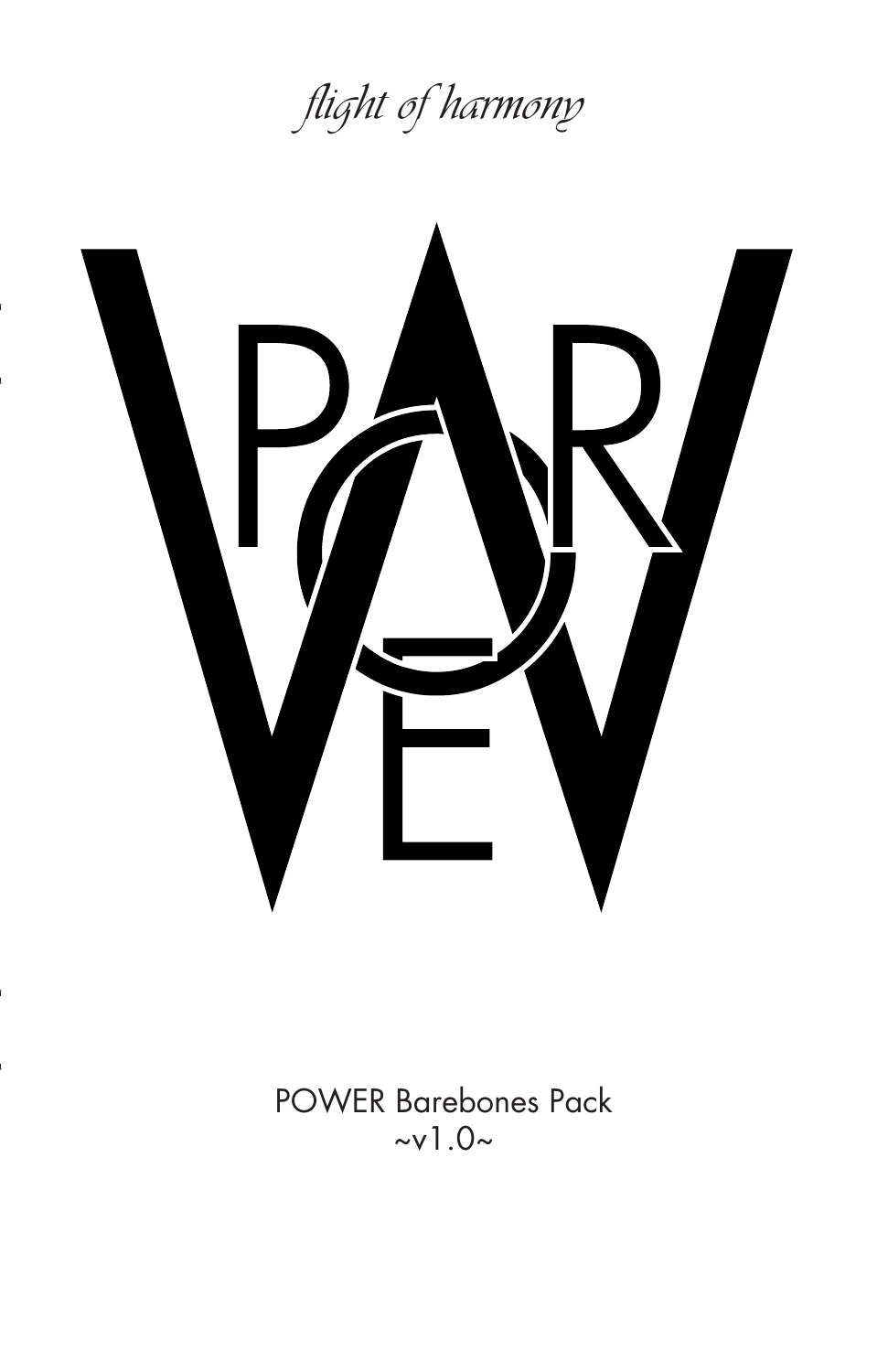



POWER Barebones Pack  $\sim$ v $1.0\sim$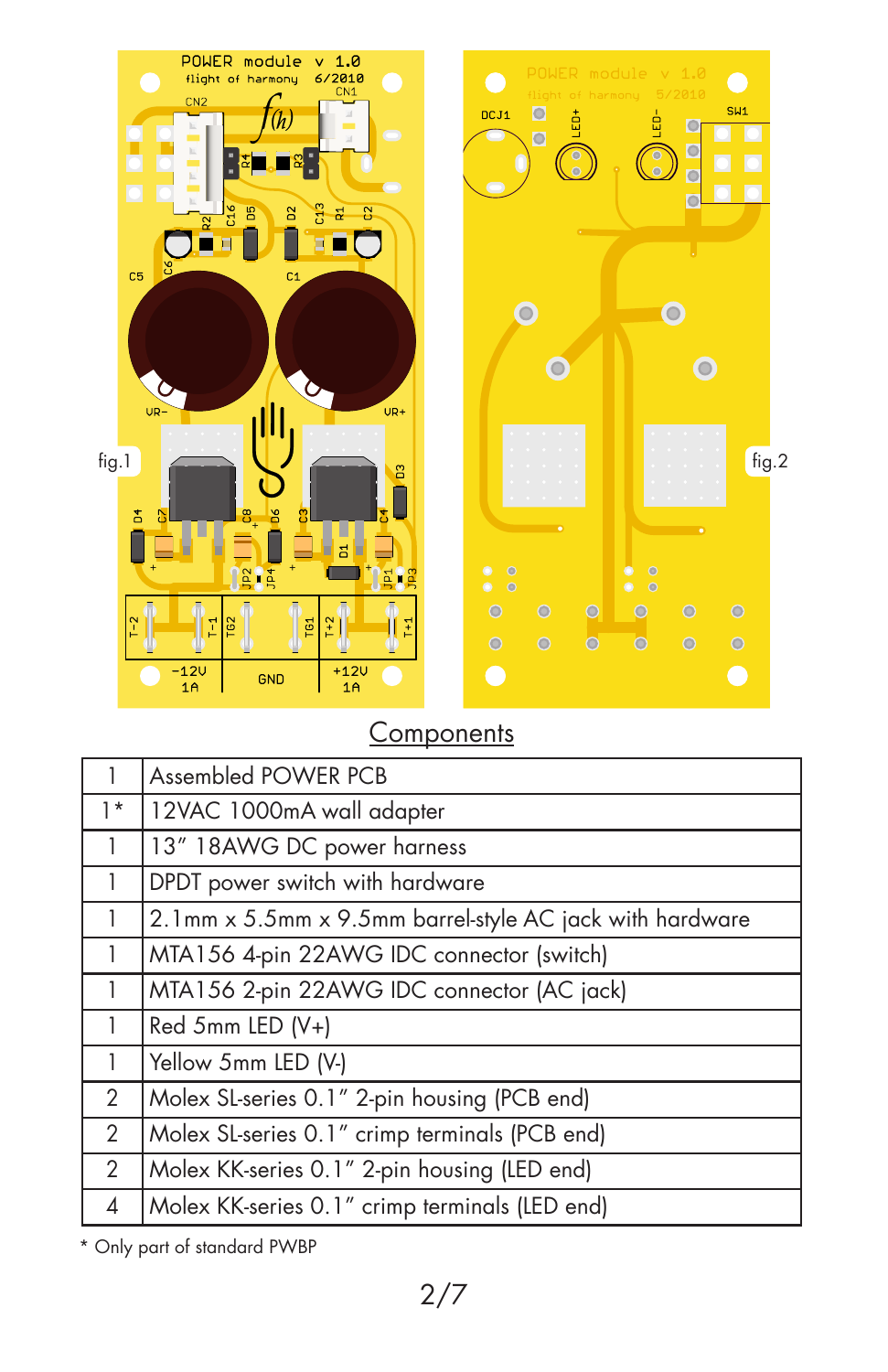

#### **Components**

|              | Assembled POWER PCB                                      |  |
|--------------|----------------------------------------------------------|--|
| $1*$         | 12VAC 1000mA wall adapter                                |  |
| $\mathbf{1}$ | 13" 18AWG DC power harness                               |  |
| 1            | DPDT power switch with hardware                          |  |
| 1            | 2.1mm x 5.5mm x 9.5mm barrel-style AC jack with hardware |  |
| $\mathbf{1}$ | MTA156 4-pin 22AWG IDC connector (switch)                |  |
| $\mathbf{1}$ | MTA156 2-pin 22AWG IDC connector (AC jack)               |  |
| $\mathbf{1}$ | Red 5mm LED (V+)                                         |  |
| 1            | Yellow 5mm LED (V-)                                      |  |
| 2            | Molex SL-series 0.1" 2-pin housing (PCB end)             |  |
| 2            | Molex SL-series 0.1" crimp terminals (PCB end)           |  |
| 2            | Molex KK-series 0.1" 2-pin housing (LED end)             |  |
| 4            | Molex KK-series 0.1" crimp terminals (LED end)           |  |

\* Only part of standard PWBP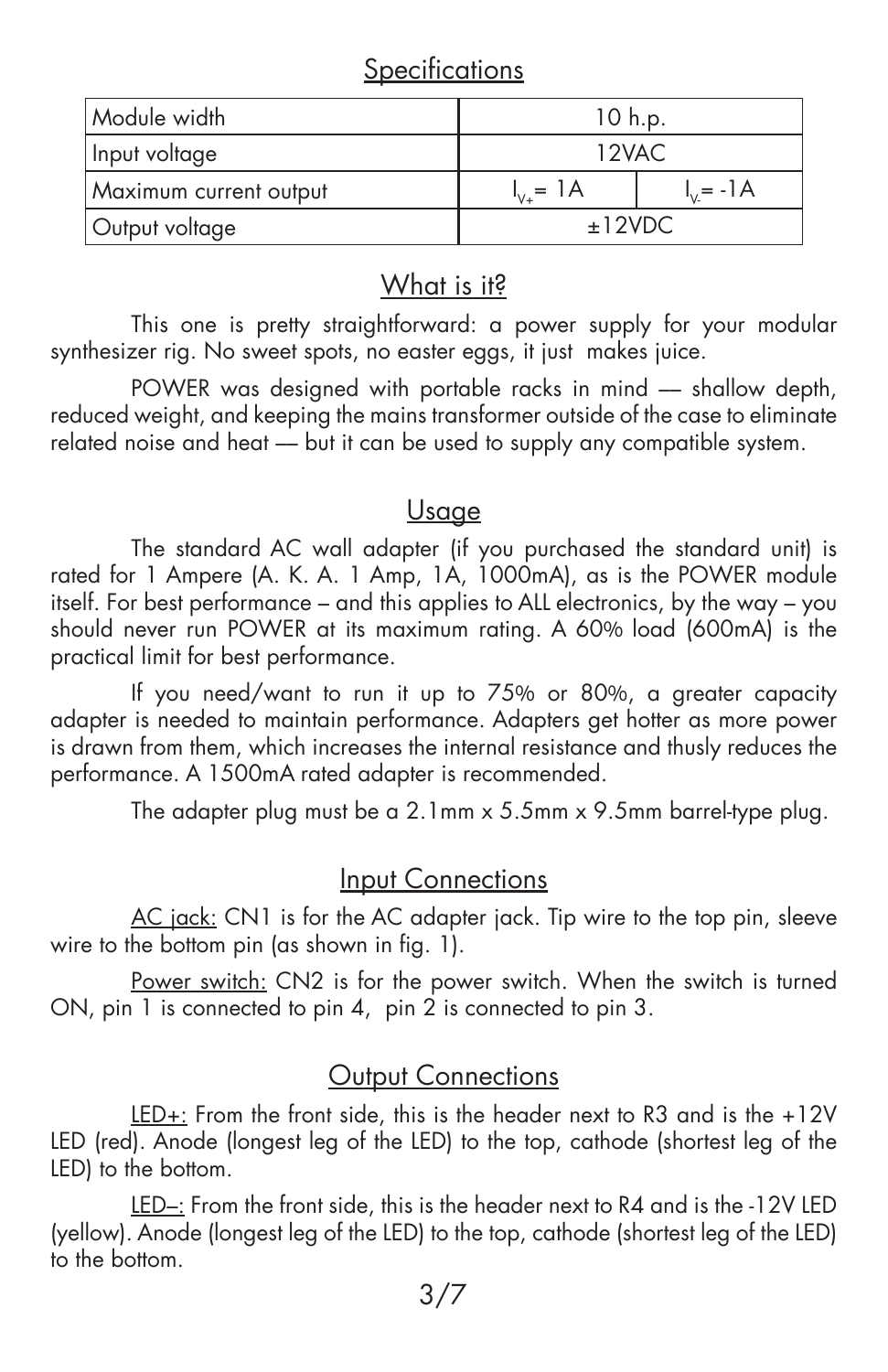## **Specifications**

| Module width           | 10 h.p.          |             |
|------------------------|------------------|-------------|
| Input voltage          | 12VAC            |             |
| Maximum current output | $I_{v_{+}} = 1A$ | $I_v = -1A$ |
| Output voltage         | ±12VDC           |             |

## What is it?

This one is pretty straightforward: a power supply for your modular synthesizer rig. No sweet spots, no easter eggs, it just makes juice.

POWER was designed with portable racks in mind — shallow depth, reduced weight, and keeping the mains transformer outside of the case to eliminate related noise and heat –– but it can be used to supply any compatible system.

## Usage

The standard AC wall adapter (if you purchased the standard unit) is rated for 1 Ampere (A. K. A. 1 Amp, 1A, 1000mA), as is the POWER module itself. For best performance – and this applies to ALL electronics, by the way – you should never run POWER at its maximum rating. A 60% load (600mA) is the practical limit for best performance.

If you need/want to run it up to 75% or 80%, a greater capacity adapter is needed to maintain performance. Adapters get hotter as more power is drawn from them, which increases the internal resistance and thusly reduces the performance. A 1500mA rated adapter is recommended.

The adapter plug must be a 2.1mm x 5.5mm x 9.5mm barrel-type plug.

## Input Connections

AC jack: CN1 is for the AC adapter jack. Tip wire to the top pin, sleeve wire to the bottom pin (as shown in fig. 1).

Power switch: CN2 is for the power switch. When the switch is turned ON, pin 1 is connected to pin 4, pin 2 is connected to pin 3.

## **Output Connections**

LED+: From the front side, this is the header next to R3 and is the +12V LED (red). Anode (longest leg of the LED) to the top, cathode (shortest leg of the LED) to the bottom.

LED–: From the front side, this is the header next to R4 and is the -12V LED (yellow). Anode (longest leg of the LED) to the top, cathode (shortest leg of the LED) to the bottom.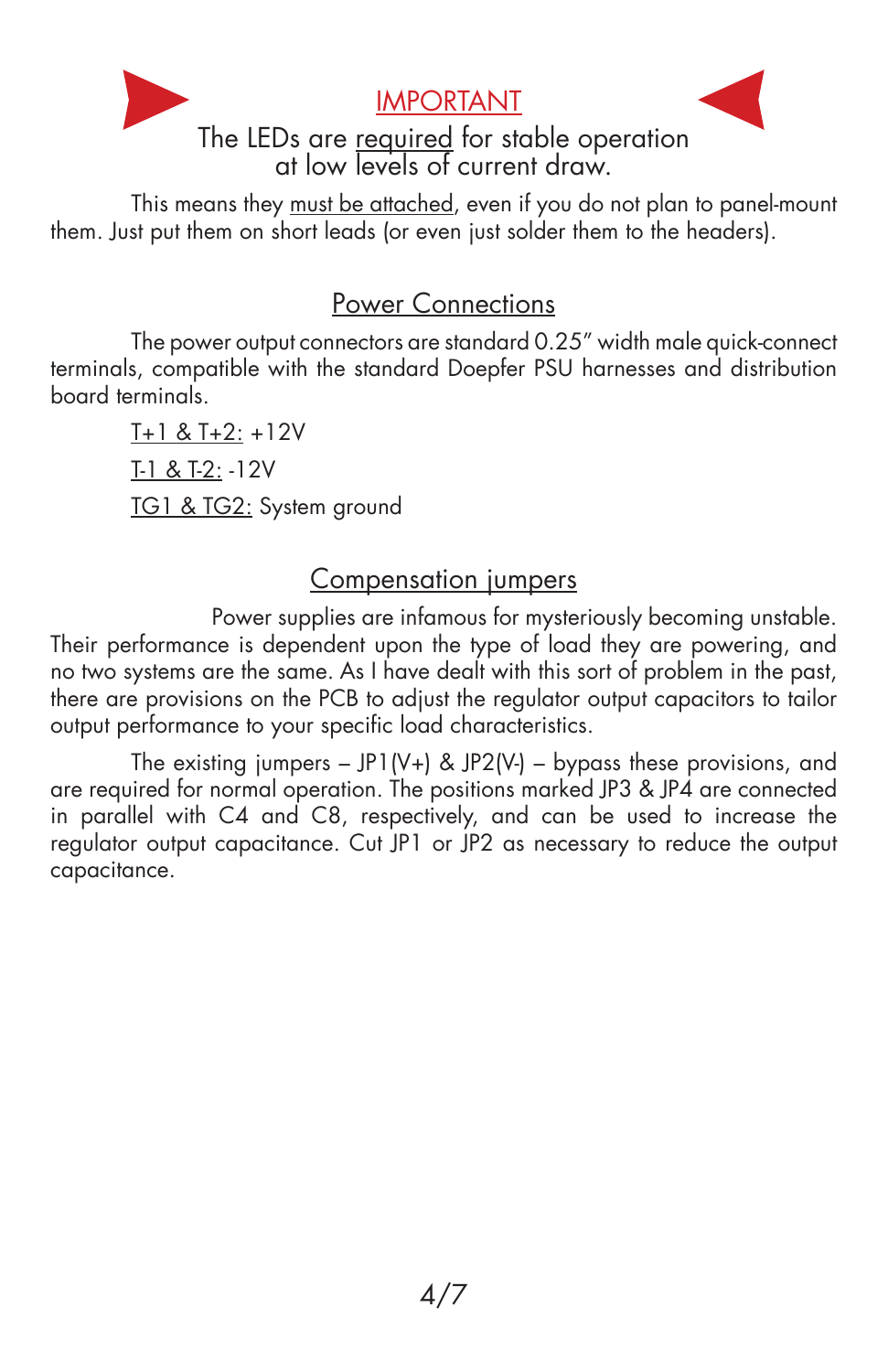

#### IMPORTANT



The LEDs are <u>required</u> for stable operation at low levels of current draw.

This means they must be attached, even if you do not plan to panel-mount them. Just put them on short leads (or even just solder them to the headers).

## Power Connections

The power output connectors are standard 0.25" width male quick-connect terminals, compatible with the standard Doepfer PSU harnesses and distribution board terminals.

T+1 & T+2: +12V T-1 & T-2: -12V TG1 & TG2: System ground

# Compensation jumpers

 Power supplies are infamous for mysteriously becoming unstable. Their performance is dependent upon the type of load they are powering, and no two systems are the same. As I have dealt with this sort of problem in the past, there are provisions on the PCB to adjust the regulator output capacitors to tailor output performance to your specific load characteristics.

The existing jumpers – JP1(V+) & JP2(V-) – bypass these provisions, and are required for normal operation. The positions marked JP3 & JP4 are connected in parallel with C4 and C8, respectively, and can be used to increase the regulator output capacitance. Cut JP1 or JP2 as necessary to reduce the output capacitance.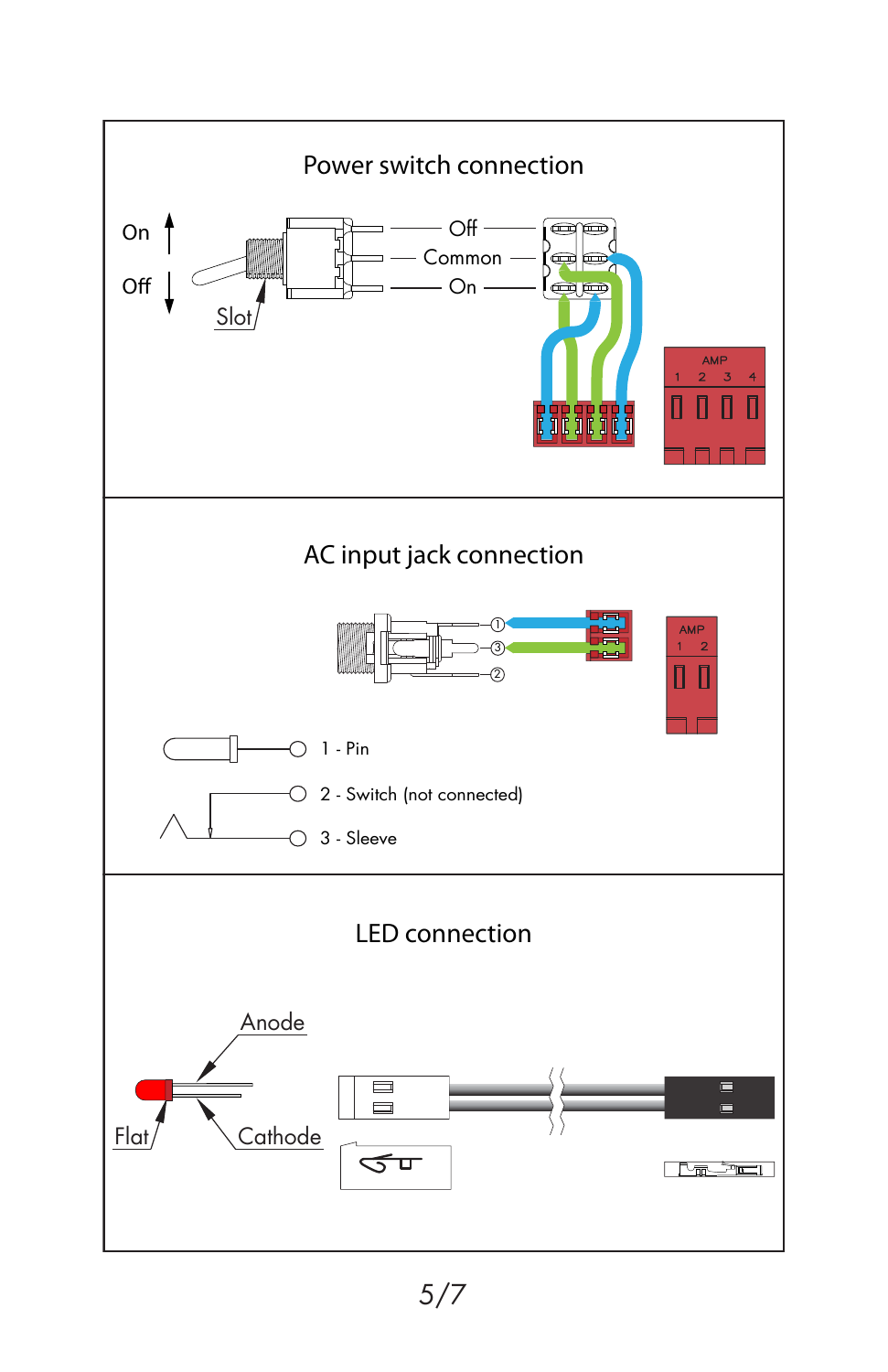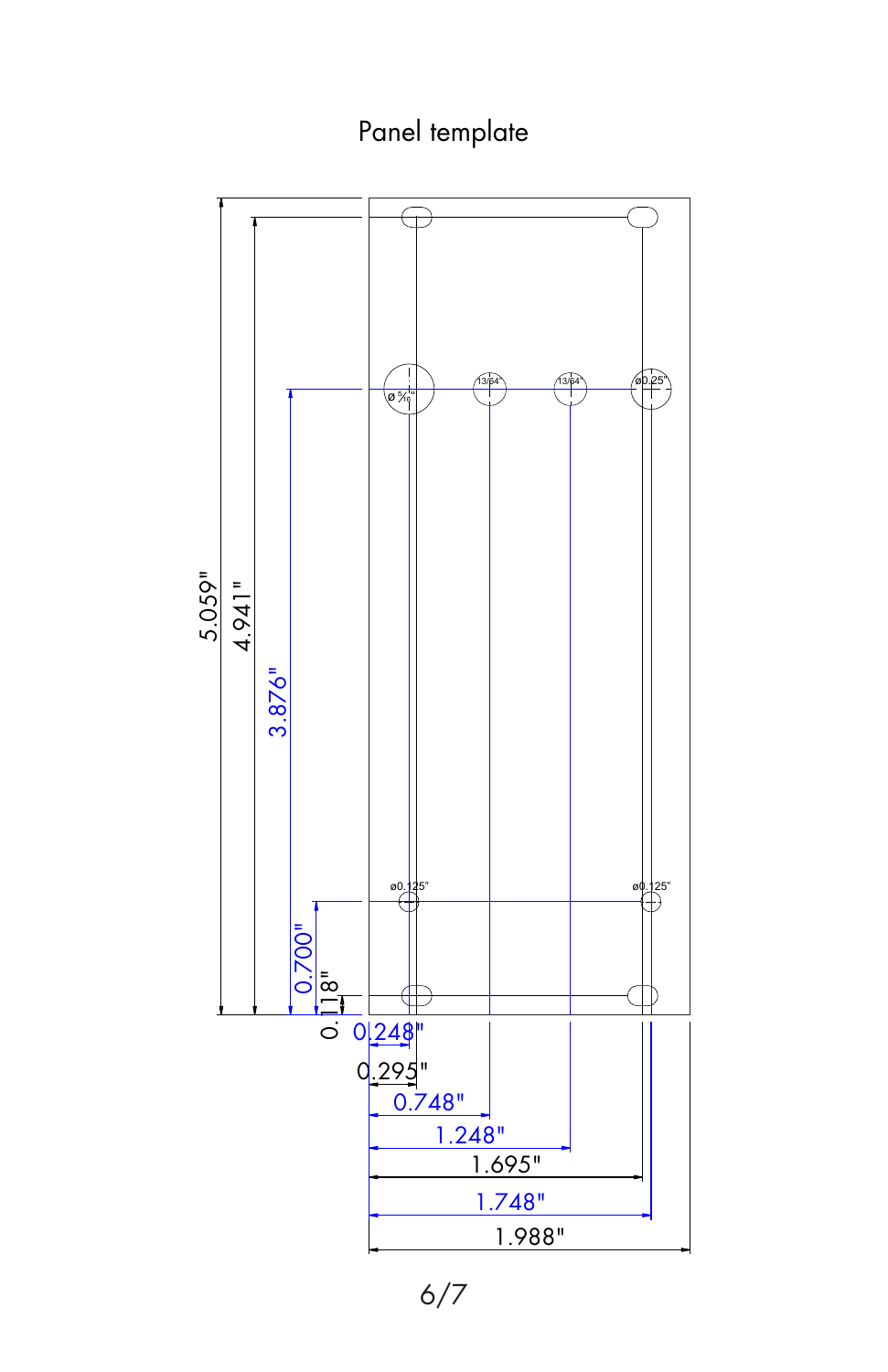Panel template



6/7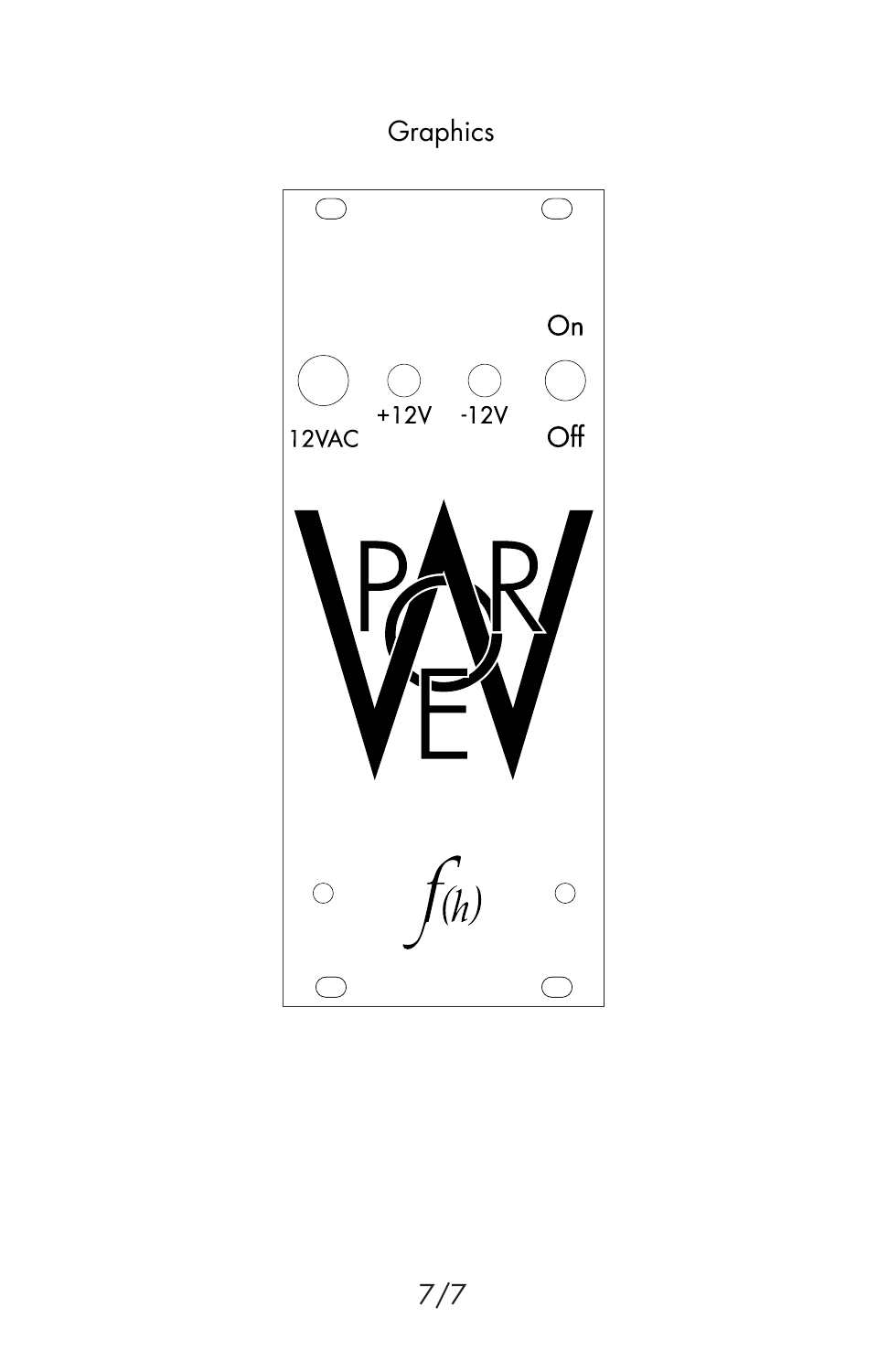# Graphics